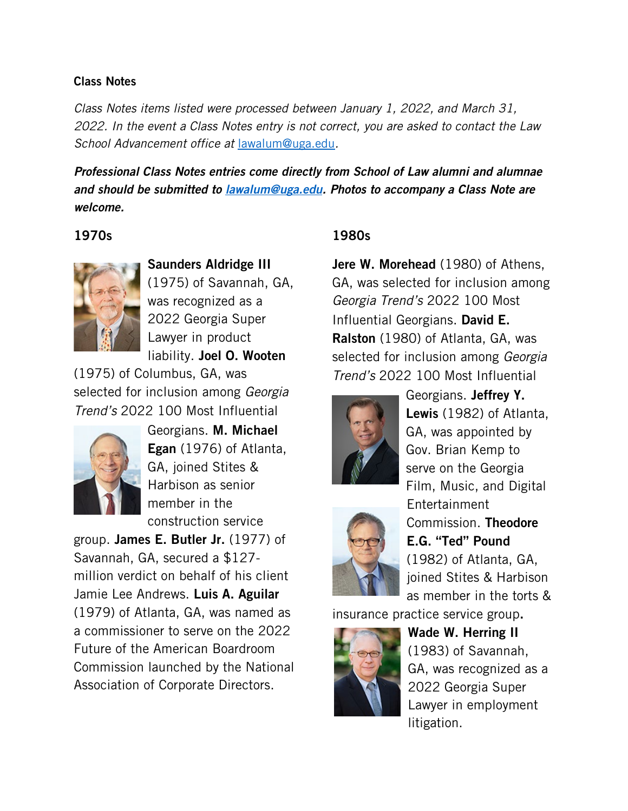#### Class Notes

*Class Notes items listed were processed between January 1, 2022, and March 31, 2022. In the event a Class Notes entry is not correct, you are asked to contact the Law School Advancement office at* [lawalum@uga.edu](mailto:lawalum@uga.edu)*.*

*Professional Class Notes entries come directly from School of Law alumni and alumnae and should be submitted to [lawalum@uga.edu.](mailto:lawalum@uga.edu) Photos to accompany a Class Note are welcome.* 

#### 1970s



Saunders Aldridge III (1975) of Savannah, GA, was recognized as a 2022 Georgia Super Lawyer in product liability. Joel O. Wooten

(1975) of Columbus, GA, was selected for inclusion among *Georgia Trend's* 2022 100 Most Influential



Georgians. M. Michael Egan (1976) of Atlanta, GA, joined Stites & Harbison as senior member in the construction service

group. James E. Butler Jr. (1977) of Savannah, GA, secured a \$127 million verdict on behalf of his client Jamie Lee Andrews. Luis A. Aguilar (1979) of Atlanta, GA, was named as a commissioner to serve on the 2022 Future of the American Boardroom Commission launched by the National Association of Corporate Directors.

## 1980s

Jere W. Morehead (1980) of Athens, GA, was selected for inclusion among *Georgia Trend's* 2022 100 Most Influential Georgians. David E. Ralston (1980) of Atlanta, GA, was selected for inclusion among *Georgia Trend's* 2022 100 Most Influential





Georgians. Jeffrey Y. Lewis (1982) of Atlanta, GA, was appointed by Gov. Brian Kemp to serve on the Georgia Film, Music, and Digital Entertainment Commission. Theodore E.G. "Ted" Pound (1982) of Atlanta, GA, joined Stites & Harbison as member in the torts &

insurance practice service group.



Wade W. Herring II (1983) of Savannah, GA, was recognized as a 2022 Georgia Super Lawyer in employment litigation.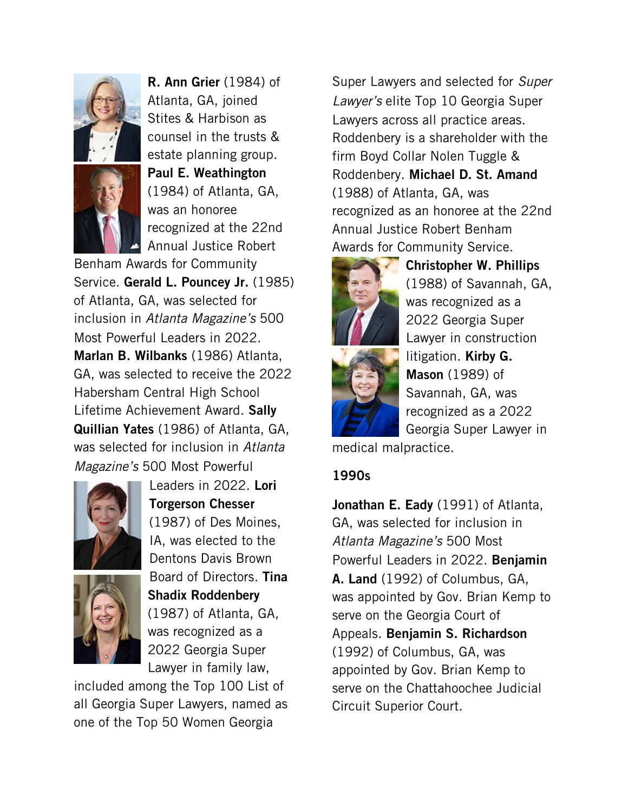



R. Ann Grier (1984) of Atlanta, GA, joined Stites & Harbison as counsel in the trusts & estate planning group. Paul E. Weathington (1984) of Atlanta, GA, was an honoree recognized at the 22nd Annual Justice Robert

Benham Awards for Community Service. Gerald L. Pouncey Jr. (1985) of Atlanta, GA, was selected for inclusion in *Atlanta Magazine's* 500 Most Powerful Leaders in 2022. Marlan B. Wilbanks (1986) Atlanta, GA, was selected to receive the 2022 Habersham Central High School Lifetime Achievement Award. Sally Quillian Yates (1986) of Atlanta, GA, was selected for inclusion in *Atlanta Magazine's* 500 Most Powerful



Leaders in 2022. Lori Torgerson Chesser (1987) of Des Moines, IA, was elected to the Dentons Davis Brown Board of Directors. Tina Shadix Roddenbery (1987) of Atlanta, GA, was recognized as a 2022 Georgia Super Lawyer in family law,

included among the Top 100 List of all Georgia Super Lawyers, named as one of the Top 50 Women Georgia

Super Lawyers and selected for *Super Lawyer's* elite Top 10 Georgia Super Lawyers across all practice areas. Roddenbery is a shareholder with the firm Boyd Collar Nolen Tuggle & Roddenbery. Michael D. St. Amand (1988) of Atlanta, GA, was recognized as an honoree at the 22nd Annual Justice Robert Benham Awards for Community Service.



Christopher W. Phillips (1988) of Savannah, GA, was recognized as a 2022 Georgia Super Lawyer in construction litigation. Kirby G. **Mason** (1989) of Savannah, GA, was recognized as a 2022 Georgia Super Lawyer in

medical malpractice.

## 1990s

Jonathan E. Eady (1991) of Atlanta, GA, was selected for inclusion in *Atlanta Magazine's* 500 Most Powerful Leaders in 2022. Benjamin A. Land (1992) of Columbus, GA, was appointed by Gov. Brian Kemp to serve on the Georgia Court of Appeals. Benjamin S. Richardson (1992) of Columbus, GA, was appointed by Gov. Brian Kemp to serve on the Chattahoochee Judicial Circuit Superior Court.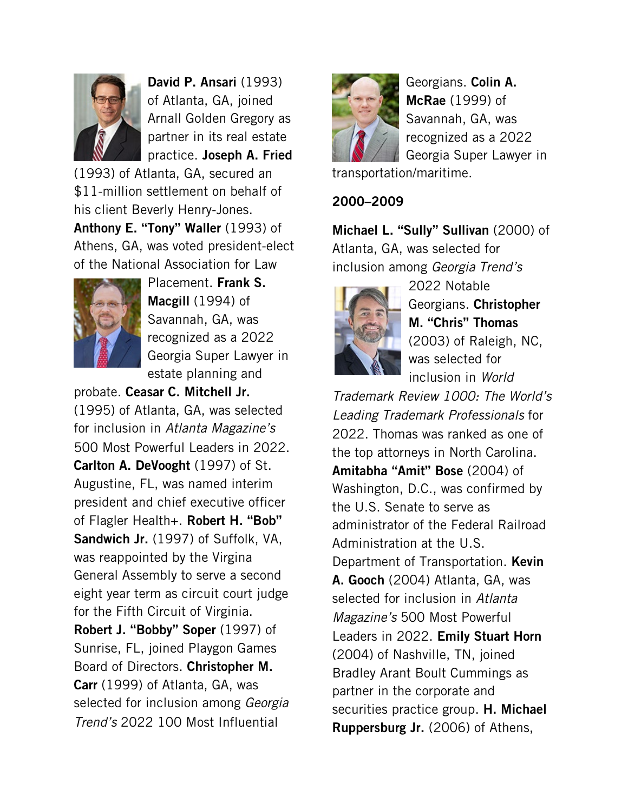

David P. Ansari (1993) of Atlanta, GA, joined Arnall Golden Gregory as partner in its real estate practice. Joseph A. Fried

(1993) of Atlanta, GA, secured an \$11-million settlement on behalf of his client Beverly Henry-Jones.

Anthony E. "Tony" Waller (1993) of Athens, GA, was voted president-elect of the National Association for Law



Placement. Frank S. Macgill (1994) of Savannah, GA, was recognized as a 2022 Georgia Super Lawyer in estate planning and

probate. Ceasar C. Mitchell Jr. (1995) of Atlanta, GA, was selected for inclusion in *Atlanta Magazine's* 500 Most Powerful Leaders in 2022. Carlton A. DeVooght (1997) of St. Augustine, FL, was named interim president and chief executive officer of Flagler Health+. **Robert H. "Bob"** Sandwich Jr. (1997) of Suffolk, VA, was reappointed by the Virgina General Assembly to serve a second eight year term as circuit court judge for the Fifth Circuit of Virginia. Robert J. "Bobby" Soper (1997) of Sunrise, FL, joined Playgon Games

Board of Directors. Christopher M. Carr (1999) of Atlanta, GA, was selected for inclusion among *Georgia Trend's* 2022 100 Most Influential



Georgians. Colin A. McRae (1999) of Savannah, GA, was recognized as a 2022 Georgia Super Lawyer in

transportation/maritime.

2000–2009

Michael L. "Sully" Sullivan (2000) of Atlanta, GA, was selected for inclusion among *Georgia Trend's*



2022 Notable Georgians. Christopher M. "Chris" Thomas (2003) of Raleigh, NC, was selected for inclusion in *World* 

*Trademark Review 1000: The World's Leading Trademark Professionals* for 2022. Thomas was ranked as one of the top attorneys in North Carolina. Amitabha "Amit" Bose (2004) of Washington, D.C., was confirmed by the U.S. Senate to serve as administrator of the Federal Railroad Administration at the U.S. Department of Transportation. Kevin A. Gooch (2004) Atlanta, GA, was selected for inclusion in *Atlanta Magazine's* 500 Most Powerful Leaders in 2022. Emily Stuart Horn (2004) of Nashville, TN, joined Bradley Arant Boult Cummings as partner in the corporate and securities practice group. **H. Michael** Ruppersburg Jr. (2006) of Athens,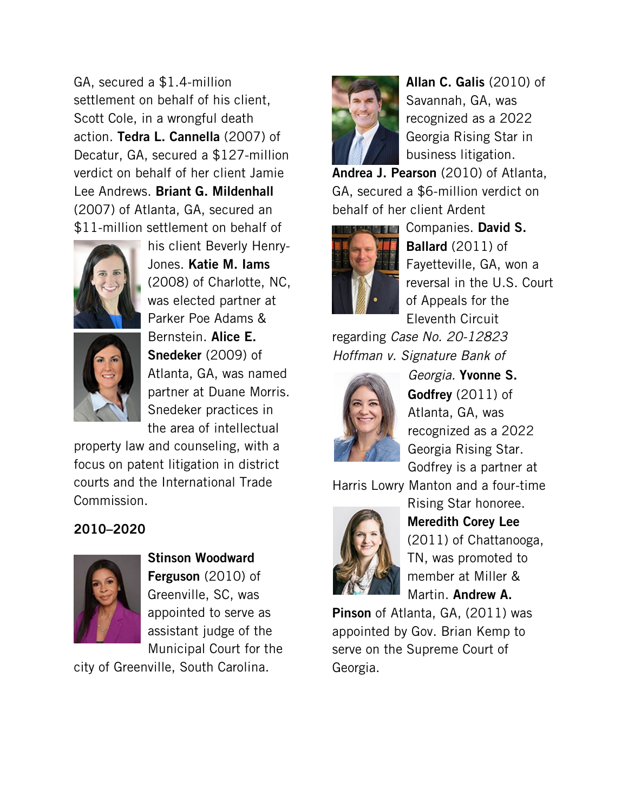GA, secured a \$1.4-million settlement on behalf of his client, Scott Cole, in a wrongful death action. Tedra L. Cannella (2007) of Decatur, GA, secured a \$127-million verdict on behalf of her client Jamie Lee Andrews. Briant G. Mildenhall (2007) of Atlanta, GA, secured an \$11-million settlement on behalf of



his client Beverly Henry-Jones. Katie M. Iams (2008) of Charlotte, NC, was elected partner at Parker Poe Adams & Bernstein. Alice E. Snedeker (2009) of Atlanta, GA, was named partner at Duane Morris. Snedeker practices in the area of intellectual

property law and counseling, with a focus on patent litigation in district courts and the International Trade Commission.

# 2010–2020



Stinson Woodward Ferguson (2010) of Greenville, SC, was appointed to serve as assistant judge of the Municipal Court for the

city of Greenville, South Carolina.



Allan C. Galis (2010) of Savannah, GA, was recognized as a 2022 Georgia Rising Star in business litigation.

Andrea J. Pearson (2010) of Atlanta, GA, secured a \$6-million verdict on behalf of her client Ardent



**FLO** Companies. David S. Ballard (2011) of Fayetteville, GA, won a reversal in the U.S. Court of Appeals for the Eleventh Circuit

regarding *Case No. 20-12823 Hoffman v. Signature Bank of* 



*Georgia.* Yvonne S. Godfrey (2011) of Atlanta, GA, was recognized as a 2022 Georgia Rising Star. Godfrey is a partner at

Harris Lowry Manton and a four-time



Rising Star honoree. Meredith Corey Lee (2011) of Chattanooga, TN, was promoted to member at Miller & Martin. Andrew A.

Pinson of Atlanta, GA, (2011) was appointed by Gov. Brian Kemp to serve on the Supreme Court of Georgia.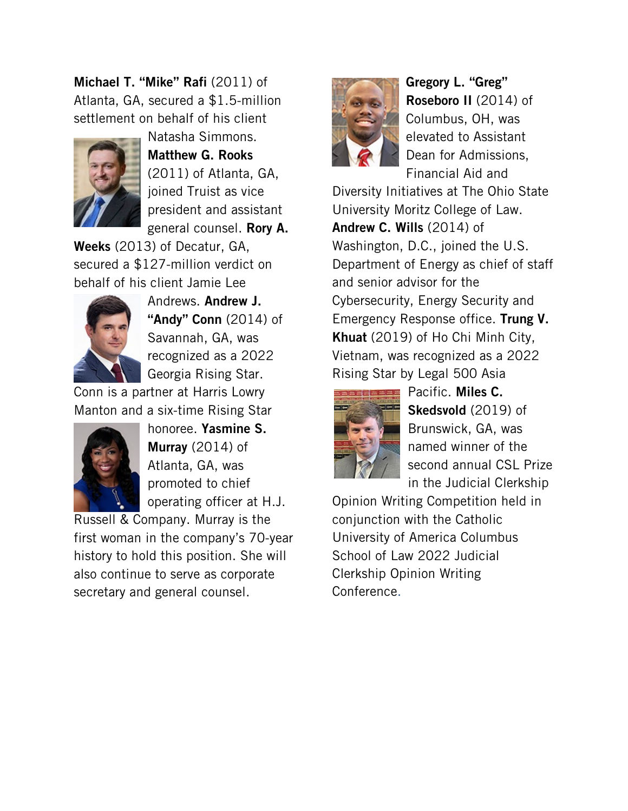Michael T. "Mike" Rafi (2011) of Atlanta, GA, secured a \$1.5-million settlement on behalf of his client



Natasha Simmons. Matthew G. Rooks (2011) of Atlanta, GA, joined Truist as vice president and assistant general counsel. Rory A.

Weeks (2013) of Decatur, GA, secured a \$127-million verdict on behalf of his client Jamie Lee



Andrews. Andrew J. "**Andy" Conn** (2014) of Savannah, GA, was recognized as a 2022 Georgia Rising Star.

Conn is a partner at Harris Lowry Manton and a six-time Rising Star



honoree. Yasmine S. Murray (2014) of Atlanta, GA, was promoted to chief operating officer at H.J.

Russell & Company. Murray is the first woman in the company's 70-year history to hold this position. She will also continue to serve as corporate secretary and general counsel.



Gregory L. "Greg" Roseboro II (2014) of Columbus, OH, was elevated to Assistant Dean for Admissions, Financial Aid and

Diversity Initiatives at The Ohio State University Moritz College of Law. Andrew C. Wills (2014) of Washington, D.C., joined the U.S. Department of Energy as chief of staff and senior advisor for the Cybersecurity, Energy Security and Emergency Response office. Trung V. Khuat (2019) of Ho Chi Minh City, Vietnam, was recognized as a 2022 Rising Star by Legal 500 Asia



Pacific. Miles C. Skedsvold (2019) of Brunswick, GA, was named winner of the second annual CSL Prize in the Judicial Clerkship

Opinion Writing Competition held in conjunction with the Catholic University of America Columbus School of Law 2022 Judicial Clerkship Opinion Writing Conference.